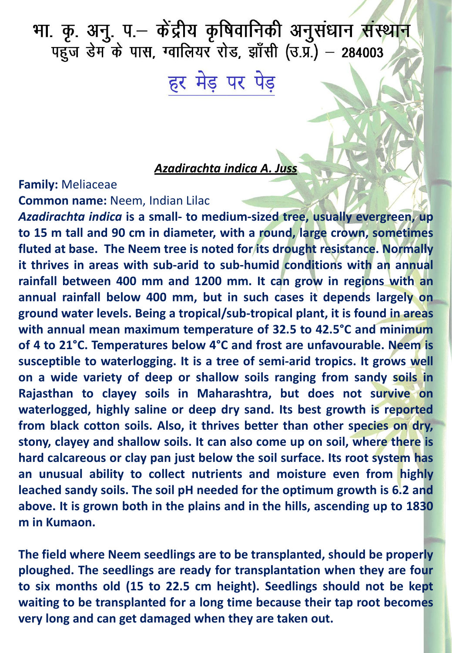भा. कृ. अनु. प.– केंद्रीय कृषिवानिकी अनुसंधान संस्<mark>थान</mark><br>पहुज डेम के पास, ग्वालियर रोड, झाँसी (उ.प्र.) – 284003

हर मेड़ पर पेड़

## *Azadirachta indica A. Juss*

## **Family:** Meliaceae **Common name:** Neem, Indian Lilac

*Azadirachta indica* **is a small- to medium-sized tree, usually evergreen, up to 15 m tall and 90 cm in diameter, with a round, large crown, sometimes fluted at base. The Neem tree is noted for its drought resistance. Normally it thrives in areas with sub-arid to sub-humid conditions with an annual rainfall between 400 mm and 1200 mm. It can grow in regions with an annual rainfall below 400 mm, but in such cases it depends largely on ground water levels. Being a tropical/sub-tropical plant, it is found in areas with annual mean maximum temperature of 32.5 to 42.5°C and minimum of 4 to 21°C. Temperatures below 4°C and frost are unfavourable. Neem is susceptible to waterlogging. It is a tree of semi-arid tropics. It grows well on a wide variety of deep or shallow soils ranging from sandy soils in Rajasthan to clayey soils in Maharashtra, but does not survive on waterlogged, highly saline or deep dry sand. Its best growth is reported from black cotton soils. Also, it thrives better than other species on dry, stony, clayey and shallow soils. It can also come up on soil, where there is hard calcareous or clay pan just below the soil surface. Its root system has an unusual ability to collect nutrients and moisture even from highly leached sandy soils. The soil pH needed for the optimum growth is 6.2 and above. It is grown both in the plains and in the hills, ascending up to 1830 m in Kumaon.**

**The field where Neem seedlings are to be transplanted, should be properly ploughed. The seedlings are ready for transplantation when they are four to six months old (15 to 22.5 cm height). Seedlings should not be kept waiting to be transplanted for a long time because their tap root becomes very long and can get damaged when they are taken out.**